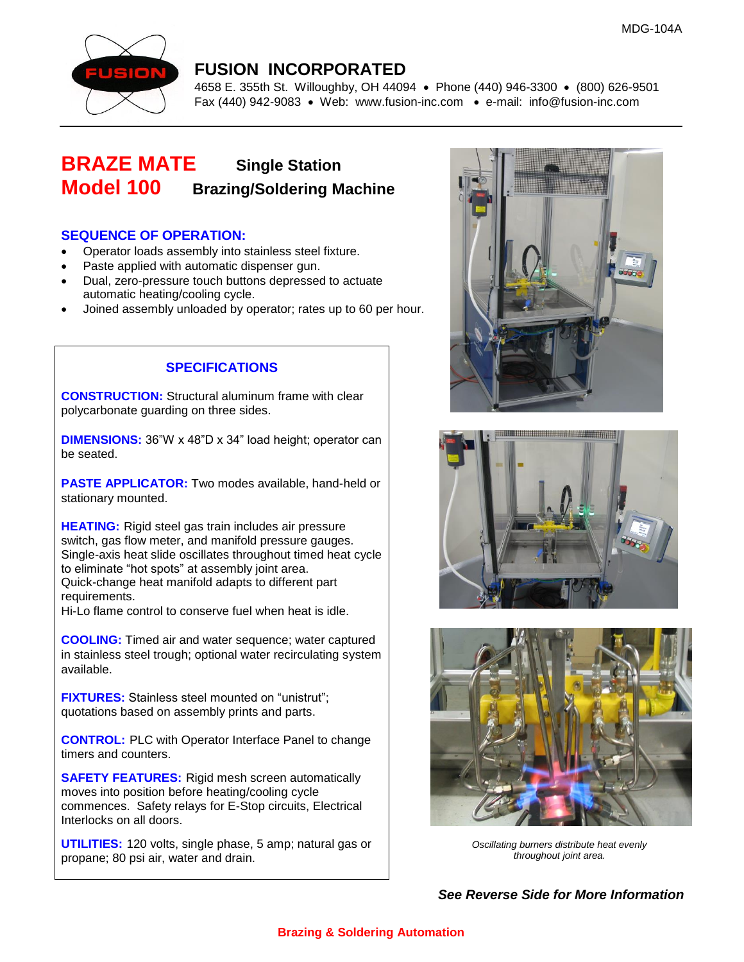

### **FUSION INCORPORATED**

4658 E. 355th St. Willoughby, OH 44094 • Phone (440) 946-3300 • (800) 626-9501 Fax (440) 942-9083 • Web: [www.fusion-inc.com](http://www.fusion-inc.com/) • e-mail: info@fusion-inc.com

## **BRAZE MATE Single Station Model 100 Brazing/Soldering Machine**

#### **SEQUENCE OF OPERATION:**

- Operator loads assembly into stainless steel fixture.
- Paste applied with automatic dispenser gun.
- Dual, zero-pressure touch buttons depressed to actuate automatic heating/cooling cycle.
- Joined assembly unloaded by operator; rates up to 60 per hour.

#### **SPECIFICATIONS**

**CONSTRUCTION:** Structural aluminum frame with clear polycarbonate guarding on three sides.

**DIMENSIONS:** 36"W x 48"D x 34" load height; operator can be seated.

**PASTE APPLICATOR:** Two modes available, hand-held or stationary mounted.

**HEATING:** Rigid steel gas train includes air pressure switch, gas flow meter, and manifold pressure gauges. Single-axis heat slide oscillates throughout timed heat cycle to eliminate "hot spots" at assembly joint area. Quick-change heat manifold adapts to different part requirements.

Hi-Lo flame control to conserve fuel when heat is idle.

**COOLING:** Timed air and water sequence; water captured in stainless steel trough; optional water recirculating system available.

**FIXTURES:** Stainless steel mounted on "unistrut"; quotations based on assembly prints and parts.

**CONTROL:** PLC with Operator Interface Panel to change timers and counters.

**SAFETY FEATURES:** Rigid mesh screen automatically moves into position before heating/cooling cycle commences. Safety relays for E-Stop circuits, Electrical Interlocks on all doors.

**UTILITIES:** 120 volts, single phase, 5 amp; natural gas or propane; 80 psi air, water and drain.







*Oscillating burners distribute heat evenly throughout joint area.*

*See Reverse Side for More Information*